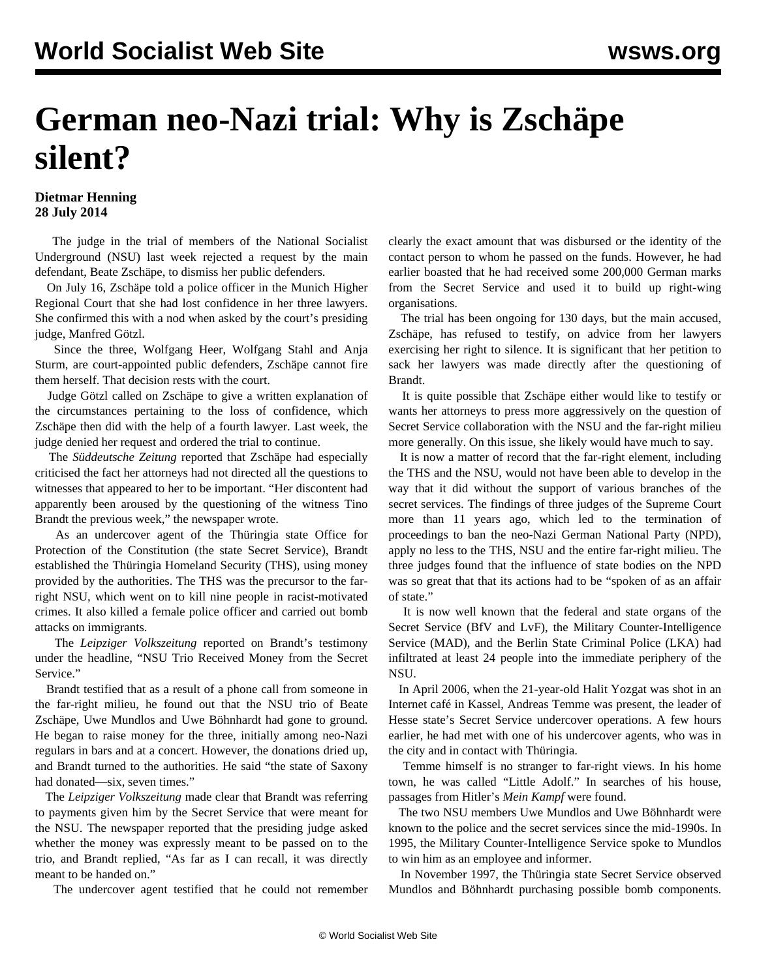## **German neo-Nazi trial: Why is Zschäpe silent?**

## **Dietmar Henning 28 July 2014**

 The judge in the trial of members of the National Socialist Underground (NSU) last week rejected a request by the main defendant, Beate Zschäpe, to dismiss her public defenders.

 On July 16, Zschäpe told a police officer in the Munich Higher Regional Court that she had lost confidence in her three lawyers. She confirmed this with a nod when asked by the court's presiding judge, Manfred Götzl.

 Since the three, Wolfgang Heer, Wolfgang Stahl and Anja Sturm, are court-appointed public defenders, Zschäpe cannot fire them herself. That decision rests with the court.

 Judge Götzl called on Zschäpe to give a written explanation of the circumstances pertaining to the loss of confidence, which Zschäpe then did with the help of a fourth lawyer. Last week, the judge denied her request and ordered the trial to continue.

 The *Süddeutsche Zeitung* reported that Zschäpe had especially criticised the fact her attorneys had not directed all the questions to witnesses that appeared to her to be important. "Her discontent had apparently been aroused by the questioning of the witness Tino Brandt the previous week," the newspaper wrote.

 As an undercover agent of the Thüringia state Office for Protection of the Constitution (the state Secret Service), Brandt established the Thüringia Homeland Security (THS), using money provided by the authorities. The THS was the precursor to the farright NSU, which went on to kill nine people in racist-motivated crimes. It also killed a female police officer and carried out bomb attacks on immigrants.

 The *Leipziger Volkszeitung* reported on Brandt's testimony under the headline, "NSU Trio Received Money from the Secret Service."

 Brandt testified that as a result of a phone call from someone in the far-right milieu, he found out that the NSU trio of Beate Zschäpe, Uwe Mundlos and Uwe Böhnhardt had gone to ground. He began to raise money for the three, initially among neo-Nazi regulars in bars and at a concert. However, the donations dried up, and Brandt turned to the authorities. He said "the state of Saxony had donated—six, seven times."

 The *Leipziger Volkszeitung* made clear that Brandt was referring to payments given him by the Secret Service that were meant for the NSU. The newspaper reported that the presiding judge asked whether the money was expressly meant to be passed on to the trio, and Brandt replied, "As far as I can recall, it was directly meant to be handed on."

The undercover agent testified that he could not remember

clearly the exact amount that was disbursed or the identity of the contact person to whom he passed on the funds. However, he had earlier boasted that he had received some 200,000 German marks from the Secret Service and used it to build up right-wing organisations.

 The trial has been ongoing for 130 days, but the main accused, Zschäpe, has refused to testify, on advice from her lawyers exercising her right to silence. It is significant that her petition to sack her lawyers was made directly after the questioning of Brandt.

 It is quite possible that Zschäpe either would like to testify or wants her attorneys to press more aggressively on the question of Secret Service collaboration with the NSU and the far-right milieu more generally. On this issue, she likely would have much to say.

 It is now a matter of record that the far-right element, including the THS and the NSU, would not have been able to develop in the way that it did without the support of various branches of the secret services. The findings of three judges of the Supreme Court more than 11 years ago, which led to the termination of proceedings to ban the neo-Nazi German National Party (NPD), apply no less to the THS, NSU and the entire far-right milieu. The three judges found that the influence of state bodies on the NPD was so great that that its actions had to be "spoken of as an affair of state."

 It is now well known that the federal and state organs of the Secret Service (BfV and LvF), the Military Counter-Intelligence Service (MAD), and the Berlin State Criminal Police (LKA) had infiltrated at least 24 people into the immediate periphery of the NSU.

 In April 2006, when the 21-year-old Halit Yozgat was shot in an Internet café in Kassel, Andreas Temme was present, the leader of Hesse state's Secret Service undercover operations. A few hours earlier, he had met with one of his undercover agents, who was in the city and in contact with Thüringia.

 Temme himself is no stranger to far-right views. In his home town, he was called "Little Adolf." In searches of his house, passages from Hitler's *Mein Kampf* were found.

 The two NSU members Uwe Mundlos and Uwe Böhnhardt were known to the police and the secret services since the mid-1990s. In 1995, the Military Counter-Intelligence Service spoke to Mundlos to win him as an employee and informer.

 In November 1997, the Thüringia state Secret Service observed Mundlos and Böhnhardt purchasing possible bomb components.